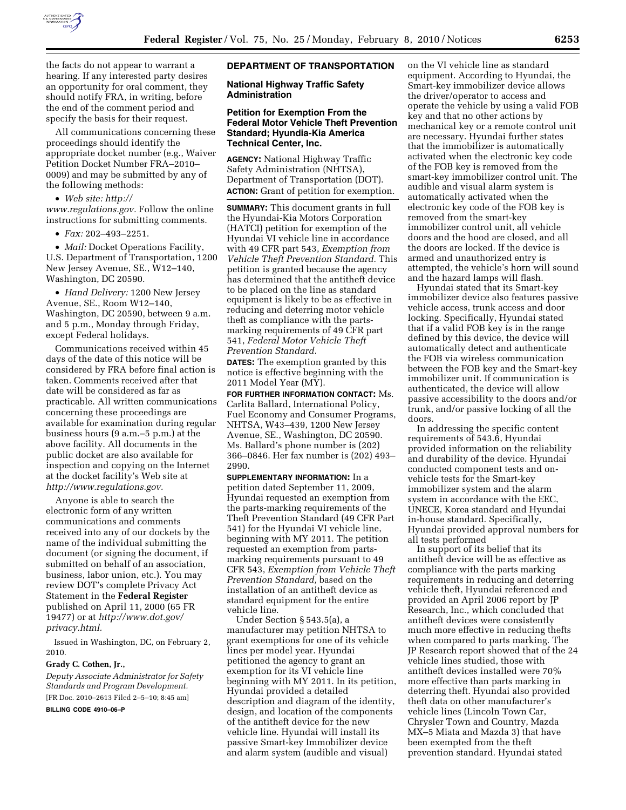

the facts do not appear to warrant a hearing. If any interested party desires an opportunity for oral comment, they should notify FRA, in writing, before the end of the comment period and specify the basis for their request.

All communications concerning these proceedings should identify the appropriate docket number (e.g., Waiver Petition Docket Number FRA–2010– 0009) and may be submitted by any of the following methods:

• *Web site: http:// www.regulations.gov.* Follow the online instructions for submitting comments.

• *Fax:* 202–493–2251.

• *Mail:* Docket Operations Facility, U.S. Department of Transportation, 1200 New Jersey Avenue, SE., W12–140, Washington, DC 20590.

• *Hand Delivery:* 1200 New Jersey Avenue, SE., Room W12–140, Washington, DC 20590, between 9 a.m. and 5 p.m., Monday through Friday, except Federal holidays.

Communications received within 45 days of the date of this notice will be considered by FRA before final action is taken. Comments received after that date will be considered as far as practicable. All written communications concerning these proceedings are available for examination during regular business hours (9 a.m.–5 p.m.) at the above facility. All documents in the public docket are also available for inspection and copying on the Internet at the docket facility's Web site at *http://www.regulations.gov.* 

Anyone is able to search the electronic form of any written communications and comments received into any of our dockets by the name of the individual submitting the document (or signing the document, if submitted on behalf of an association, business, labor union, etc.). You may review DOT's complete Privacy Act Statement in the **Federal Register**  published on April 11, 2000 (65 FR 19477) or at *http://www.dot.gov/ privacy.html.* 

Issued in Washington, DC, on February 2, 2010.

#### **Grady C. Cothen, Jr.,**

*Deputy Associate Administrator for Safety Standards and Program Development.* 

[FR Doc. 2010–2613 Filed 2–5–10; 8:45 am]

**BILLING CODE 4910–06–P** 

## **DEPARTMENT OF TRANSPORTATION**

**National Highway Traffic Safety Administration** 

## **Petition for Exemption From the Federal Motor Vehicle Theft Prevention Standard; Hyundia-Kia America Technical Center, Inc.**

**AGENCY:** National Highway Traffic Safety Administration (NHTSA), Department of Transportation (DOT). **ACTION:** Grant of petition for exemption.

**SUMMARY:** This document grants in full the Hyundai-Kia Motors Corporation (HATCI) petition for exemption of the Hyundai VI vehicle line in accordance with 49 CFR part 543, *Exemption from Vehicle Theft Prevention Standard.* This petition is granted because the agency has determined that the antitheft device to be placed on the line as standard equipment is likely to be as effective in reducing and deterring motor vehicle theft as compliance with the partsmarking requirements of 49 CFR part 541, *Federal Motor Vehicle Theft Prevention Standard.* 

**DATES:** The exemption granted by this notice is effective beginning with the 2011 Model Year (MY).

**FOR FURTHER INFORMATION CONTACT:** Ms. Carlita Ballard, International Policy, Fuel Economy and Consumer Programs, NHTSA, W43–439, 1200 New Jersey Avenue, SE., Washington, DC 20590. Ms. Ballard's phone number is (202) 366–0846. Her fax number is (202) 493– 2990.

**SUPPLEMENTARY INFORMATION:** In a petition dated September 11, 2009, Hyundai requested an exemption from the parts-marking requirements of the Theft Prevention Standard (49 CFR Part 541) for the Hyundai VI vehicle line, beginning with MY 2011. The petition requested an exemption from partsmarking requirements pursuant to 49 CFR 543, *Exemption from Vehicle Theft Prevention Standard,* based on the installation of an antitheft device as standard equipment for the entire vehicle line.

Under Section § 543.5(a), a manufacturer may petition NHTSA to grant exemptions for one of its vehicle lines per model year. Hyundai petitioned the agency to grant an exemption for its VI vehicle line beginning with MY 2011. In its petition, Hyundai provided a detailed description and diagram of the identity, design, and location of the components of the antitheft device for the new vehicle line. Hyundai will install its passive Smart-key Immobilizer device and alarm system (audible and visual)

on the VI vehicle line as standard equipment. According to Hyundai, the Smart-key immobilizer device allows the driver/operator to access and operate the vehicle by using a valid FOB key and that no other actions by mechanical key or a remote control unit are necessary. Hyundai further states that the immobilizer is automatically activated when the electronic key code of the FOB key is removed from the smart-key immobilizer control unit. The audible and visual alarm system is automatically activated when the electronic key code of the FOB key is removed from the smart-key immobilizer control unit, all vehicle doors and the hood are closed, and all the doors are locked. If the device is armed and unauthorized entry is attempted, the vehicle's horn will sound and the hazard lamps will flash.

Hyundai stated that its Smart-key immobilizer device also features passive vehicle access, trunk access and door locking. Specifically, Hyundai stated that if a valid FOB key is in the range defined by this device, the device will automatically detect and authenticate the FOB via wireless communication between the FOB key and the Smart-key immobilizer unit. If communication is authenticated, the device will allow passive accessibility to the doors and/or trunk, and/or passive locking of all the doors.

In addressing the specific content requirements of 543.6, Hyundai provided information on the reliability and durability of the device. Hyundai conducted component tests and onvehicle tests for the Smart-key immobilizer system and the alarm system in accordance with the EEC, UNECE, Korea standard and Hyundai in-house standard. Specifically, Hyundai provided approval numbers for all tests performed

In support of its belief that its antitheft device will be as effective as compliance with the parts marking requirements in reducing and deterring vehicle theft, Hyundai referenced and provided an April 2006 report by JP Research, Inc., which concluded that antitheft devices were consistently much more effective in reducing thefts when compared to parts marking. The JP Research report showed that of the 24 vehicle lines studied, those with antitheft devices installed were 70% more effective than parts marking in deterring theft. Hyundai also provided theft data on other manufacturer's vehicle lines (Lincoln Town Car, Chrysler Town and Country, Mazda MX–5 Miata and Mazda 3) that have been exempted from the theft prevention standard. Hyundai stated